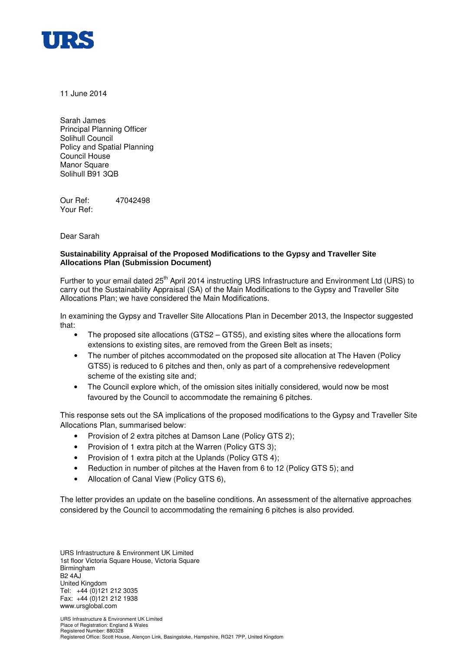

11 June 2014

Sarah James Principal Planning Officer Solihull Council Policy and Spatial Planning Council House Manor Square Solihull B91 3QB

Our Ref: 47042498 Your Ref:

Dear Sarah

## **Sustainability Appraisal of the Proposed Modifications to the Gypsy and Traveller Site Allocations Plan (Submission Document)**

Further to your email dated 25<sup>th</sup> April 2014 instructing URS Infrastructure and Environment Ltd (URS) to carry out the Sustainability Appraisal (SA) of the Main Modifications to the Gypsy and Traveller Site Allocations Plan; we have considered the Main Modifications.

In examining the Gypsy and Traveller Site Allocations Plan in December 2013, the Inspector suggested that:

- The proposed site allocations (GTS2 GTS5), and existing sites where the allocations form extensions to existing sites, are removed from the Green Belt as insets;
- The number of pitches accommodated on the proposed site allocation at The Haven (Policy GTS5) is reduced to 6 pitches and then, only as part of a comprehensive redevelopment scheme of the existing site and;
- The Council explore which, of the omission sites initially considered, would now be most favoured by the Council to accommodate the remaining 6 pitches.

This response sets out the SA implications of the proposed modifications to the Gypsy and Traveller Site Allocations Plan, summarised below:

- Provision of 2 extra pitches at Damson Lane (Policy GTS 2);
- Provision of 1 extra pitch at the Warren (Policy GTS 3):
- Provision of 1 extra pitch at the Uplands (Policy GTS 4);
- Reduction in number of pitches at the Haven from 6 to 12 (Policy GTS 5); and
- Allocation of Canal View (Policy GTS 6),

The letter provides an update on the baseline conditions. An assessment of the alternative approaches considered by the Council to accommodating the remaining 6 pitches is also provided.

URS Infrastructure & Environment UK Limited 1st floor Victoria Square House, Victoria Square Birmingham B2 4AJ United Kingdom Tel: +44 (0)121 212 3035 Fax: +44 (0)121 212 1938 www.ursglobal.com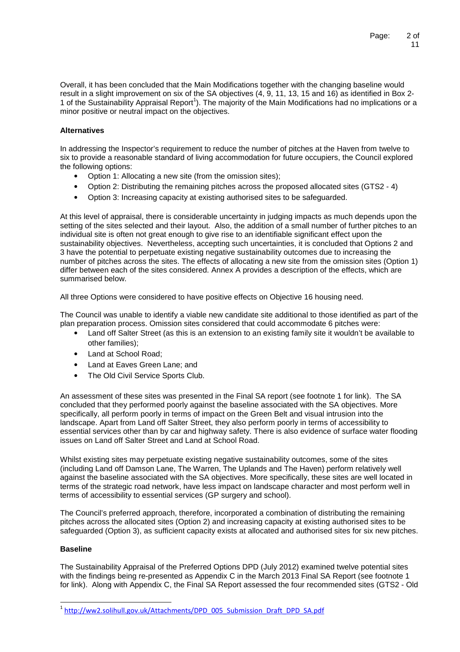Overall, it has been concluded that the Main Modifications together with the changing baseline would result in a slight improvement on six of the SA objectives (4, 9, 11, 13, 15 and 16) as identified in Box 2- 1 of the Sustainability Appraisal Report<sup>1</sup>). The majority of the Main Modifications had no implications or a minor positive or neutral impact on the objectives.

## **Alternatives**

In addressing the Inspector's requirement to reduce the number of pitches at the Haven from twelve to six to provide a reasonable standard of living accommodation for future occupiers, the Council explored the following options:

- Option 1: Allocating a new site (from the omission sites);
- Option 2: Distributing the remaining pitches across the proposed allocated sites (GTS2 4)
- Option 3: Increasing capacity at existing authorised sites to be safeguarded.

At this level of appraisal, there is considerable uncertainty in judging impacts as much depends upon the setting of the sites selected and their layout. Also, the addition of a small number of further pitches to an individual site is often not great enough to give rise to an identifiable significant effect upon the sustainability objectives. Nevertheless, accepting such uncertainties, it is concluded that Options 2 and 3 have the potential to perpetuate existing negative sustainability outcomes due to increasing the number of pitches across the sites. The effects of allocating a new site from the omission sites (Option 1) differ between each of the sites considered. Annex A provides a description of the effects, which are summarised below.

All three Options were considered to have positive effects on Objective 16 housing need.

The Council was unable to identify a viable new candidate site additional to those identified as part of the plan preparation process. Omission sites considered that could accommodate 6 pitches were:

- Land off Salter Street (as this is an extension to an existing family site it wouldn't be available to other families);
- Land at School Road;
- Land at Eaves Green Lane; and
- The Old Civil Service Sports Club.

An assessment of these sites was presented in the Final SA report (see footnote 1 for link). The SA concluded that they performed poorly against the baseline associated with the SA objectives. More specifically, all perform poorly in terms of impact on the Green Belt and visual intrusion into the landscape. Apart from Land off Salter Street, they also perform poorly in terms of accessibility to essential services other than by car and highway safety. There is also evidence of surface water flooding issues on Land off Salter Street and Land at School Road.

Whilst existing sites may perpetuate existing negative sustainability outcomes, some of the sites (including Land off Damson Lane, The Warren, The Uplands and The Haven) perform relatively well against the baseline associated with the SA objectives. More specifically, these sites are well located in terms of the strategic road network, have less impact on landscape character and most perform well in terms of accessibility to essential services (GP surgery and school).

The Council's preferred approach, therefore, incorporated a combination of distributing the remaining pitches across the allocated sites (Option 2) and increasing capacity at existing authorised sites to be safeguarded (Option 3), as sufficient capacity exists at allocated and authorised sites for six new pitches.

#### **Baseline**

-

The Sustainability Appraisal of the Preferred Options DPD (July 2012) examined twelve potential sites with the findings being re-presented as Appendix C in the March 2013 Final SA Report (see footnote 1 for link). Along with Appendix C, the Final SA Report assessed the four recommended sites (GTS2 - Old

<sup>&</sup>lt;sup>1</sup> http://ww2.solihull.gov.uk/Attachments/DPD\_005\_Submission\_Draft\_DPD\_SA.pdf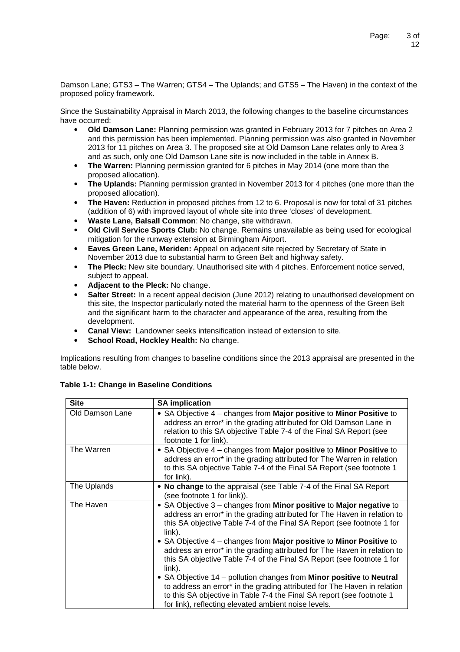Damson Lane; GTS3 – The Warren; GTS4 – The Uplands; and GTS5 – The Haven) in the context of the proposed policy framework.

Since the Sustainability Appraisal in March 2013, the following changes to the baseline circumstances have occurred:

- **Old Damson Lane:** Planning permission was granted in February 2013 for 7 pitches on Area 2 and this permission has been implemented. Planning permission was also granted in November 2013 for 11 pitches on Area 3. The proposed site at Old Damson Lane relates only to Area 3 and as such, only one Old Damson Lane site is now included in the table in Annex B.
- **The Warren:** Planning permission granted for 6 pitches in May 2014 (one more than the proposed allocation).
- **The Uplands:** Planning permission granted in November 2013 for 4 pitches (one more than the proposed allocation).
- **The Haven:** Reduction in proposed pitches from 12 to 6. Proposal is now for total of 31 pitches (addition of 6) with improved layout of whole site into three 'closes' of development.
- **Waste Lane, Balsall Common**: No change, site withdrawn.
- **Old Civil Service Sports Club:** No change. Remains unavailable as being used for ecological mitigation for the runway extension at Birmingham Airport.
- **Eaves Green Lane, Meriden:** Appeal on adjacent site rejected by Secretary of State in November 2013 due to substantial harm to Green Belt and highway safety.
- **The Pleck:** New site boundary. Unauthorised site with 4 pitches. Enforcement notice served, subject to appeal.
- **Adjacent to the Pleck:** No change.
- **Salter Street:** In a recent appeal decision (June 2012) relating to unauthorised development on this site, the Inspector particularly noted the material harm to the openness of the Green Belt and the significant harm to the character and appearance of the area, resulting from the development.
- **Canal View:** Landowner seeks intensification instead of extension to site.
- **School Road, Hockley Health:** No change.

Implications resulting from changes to baseline conditions since the 2013 appraisal are presented in the table below.

| <b>SA implication</b>                                                                                                                                                                                                                                                                                                                                                                                                                                                                                                                                                                                                                                                                                     |
|-----------------------------------------------------------------------------------------------------------------------------------------------------------------------------------------------------------------------------------------------------------------------------------------------------------------------------------------------------------------------------------------------------------------------------------------------------------------------------------------------------------------------------------------------------------------------------------------------------------------------------------------------------------------------------------------------------------|
| • SA Objective $4$ – changes from Major positive to Minor Positive to<br>address an error* in the grading attributed for Old Damson Lane in<br>relation to this SA objective Table 7-4 of the Final SA Report (see<br>footnote 1 for link).                                                                                                                                                                                                                                                                                                                                                                                                                                                               |
| • SA Objective $4$ – changes from <b>Major positive</b> to <b>Minor Positive</b> to<br>address an error* in the grading attributed for The Warren in relation<br>to this SA objective Table 7-4 of the Final SA Report (see footnote 1<br>for link).                                                                                                                                                                                                                                                                                                                                                                                                                                                      |
| • No change to the appraisal (see Table 7-4 of the Final SA Report<br>(see footnote 1 for link)).                                                                                                                                                                                                                                                                                                                                                                                                                                                                                                                                                                                                         |
| • SA Objective 3 – changes from Minor positive to Major negative to<br>address an error* in the grading attributed for The Haven in relation to<br>this SA objective Table 7-4 of the Final SA Report (see footnote 1 for<br>link).<br>• SA Objective $4$ – changes from Major positive to Minor Positive to<br>address an error* in the grading attributed for The Haven in relation to<br>this SA objective Table 7-4 of the Final SA Report (see footnote 1 for<br>link).<br>• SA Objective 14 – pollution changes from Minor positive to Neutral<br>to address an error* in the grading attributed for The Haven in relation<br>to this SA objective in Table 7-4 the Final SA report (see footnote 1 |
|                                                                                                                                                                                                                                                                                                                                                                                                                                                                                                                                                                                                                                                                                                           |

**Table 1-1: Change in Baseline Conditions**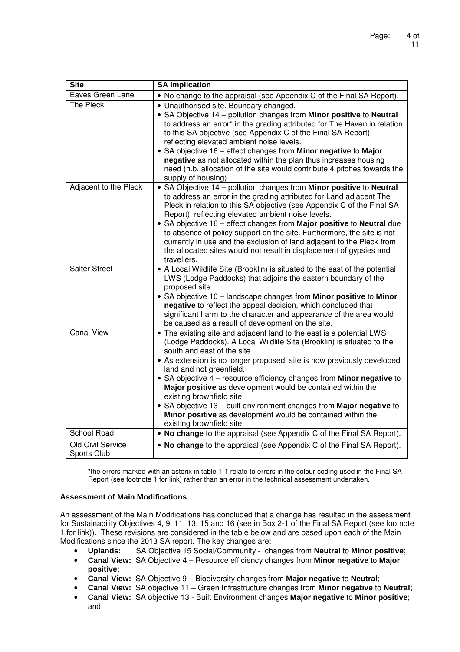| <b>Site</b>                      | <b>SA implication</b>                                                                                                                                                                                                                                                                                                                                                                                                                                                                                                                                                                                                       |
|----------------------------------|-----------------------------------------------------------------------------------------------------------------------------------------------------------------------------------------------------------------------------------------------------------------------------------------------------------------------------------------------------------------------------------------------------------------------------------------------------------------------------------------------------------------------------------------------------------------------------------------------------------------------------|
| Eaves Green Lane                 | • No change to the appraisal (see Appendix C of the Final SA Report).                                                                                                                                                                                                                                                                                                                                                                                                                                                                                                                                                       |
| The Pleck                        | • Unauthorised site. Boundary changed.<br>• SA Objective 14 - pollution changes from Minor positive to Neutral<br>to address an error* in the grading attributed for The Haven in relation<br>to this SA objective (see Appendix C of the Final SA Report),<br>reflecting elevated ambient noise levels.<br>• SA objective 16 - effect changes from Minor negative to Major<br>negative as not allocated within the plan thus increases housing<br>need (n.b. allocation of the site would contribute 4 pitches towards the<br>supply of housing).                                                                          |
| Adjacent to the Pleck            | • SA Objective 14 - pollution changes from Minor positive to Neutral<br>to address an error in the grading attributed for Land adjacent The<br>Pleck in relation to this SA objective (see Appendix C of the Final SA<br>Report), reflecting elevated ambient noise levels.<br>• SA objective 16 – effect changes from Major positive to Neutral due<br>to absence of policy support on the site. Furthermore, the site is not<br>currently in use and the exclusion of land adjacent to the Pleck from<br>the allocated sites would not result in displacement of gypsies and<br>travellers.                               |
| <b>Salter Street</b>             | • A Local Wildlife Site (Brooklin) is situated to the east of the potential<br>LWS (Lodge Paddocks) that adjoins the eastern boundary of the<br>proposed site.<br>• SA objective 10 - landscape changes from Minor positive to Minor<br>negative to reflect the appeal decision, which concluded that<br>significant harm to the character and appearance of the area would<br>be caused as a result of development on the site.                                                                                                                                                                                            |
| <b>Canal View</b>                | • The existing site and adjacent land to the east is a potential LWS<br>(Lodge Paddocks). A Local Wildlife Site (Brooklin) is situated to the<br>south and east of the site.<br>• As extension is no longer proposed, site is now previously developed<br>land and not greenfield.<br>• SA objective 4 - resource efficiency changes from Minor negative to<br>Major positive as development would be contained within the<br>existing brownfield site.<br>• SA objective 13 - built environment changes from Major negative to<br>Minor positive as development would be contained within the<br>existing brownfield site. |
| School Road                      | . No change to the appraisal (see Appendix C of the Final SA Report).                                                                                                                                                                                                                                                                                                                                                                                                                                                                                                                                                       |
| Old Civil Service<br>Sports Club | • No change to the appraisal (see Appendix C of the Final SA Report).                                                                                                                                                                                                                                                                                                                                                                                                                                                                                                                                                       |

\*the errors marked with an asterix in table 1-1 relate to errors in the colour coding used in the Final SA Report (see footnote 1 for link) rather than an error in the technical assessment undertaken.

## **Assessment of Main Modifications**

An assessment of the Main Modifications has concluded that a change has resulted in the assessment for Sustainability Objectives 4, 9, 11, 13, 15 and 16 (see in Box 2-1 of the Final SA Report (see footnote 1 for link)). These revisions are considered in the table below and are based upon each of the Main Modifications since the 2013 SA report. The key changes are:

- **Uplands:** SA Objective 15 Social/Community changes from **Neutral** to **Minor positive**;
- **Canal View:** SA Objective 4 Resource efficiency changes from **Minor negative** to **Major positive**;
- **Canal View:** SA Objective 9 Biodiversity changes from **Major negative** to **Neutral**;
- **Canal View:** SA objective 11 Green Infrastructure changes from **Minor negative** to **Neutral**;
- **Canal View:** SA objective 13 Built Environment changes **Major negative** to **Minor positive**; and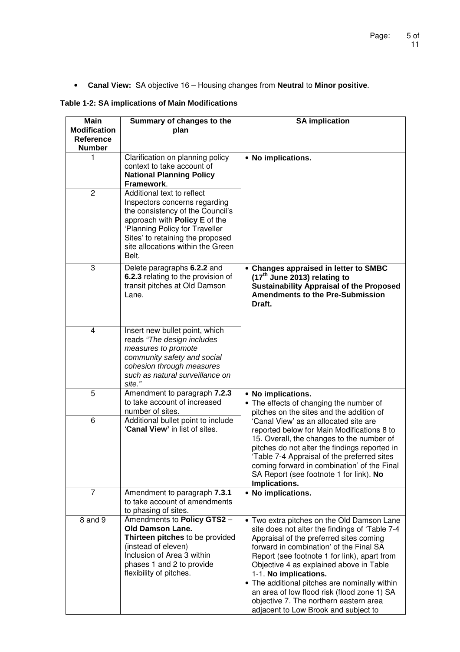• **Canal View:** SA objective 16 – Housing changes from **Neutral** to **Minor positive**.

# **Table 1-2: SA implications of Main Modifications**

| <b>Main</b><br><b>Modification</b><br>Reference<br><b>Number</b> | Summary of changes to the<br>plan                                                                                                                                                                                                                    | <b>SA implication</b>                                                                                                                                                                                                                                                                                                                                                                                                                                                                    |
|------------------------------------------------------------------|------------------------------------------------------------------------------------------------------------------------------------------------------------------------------------------------------------------------------------------------------|------------------------------------------------------------------------------------------------------------------------------------------------------------------------------------------------------------------------------------------------------------------------------------------------------------------------------------------------------------------------------------------------------------------------------------------------------------------------------------------|
| 1                                                                | Clarification on planning policy<br>context to take account of<br><b>National Planning Policy</b><br>Framework.                                                                                                                                      | • No implications.                                                                                                                                                                                                                                                                                                                                                                                                                                                                       |
| $\overline{2}$                                                   | Additional text to reflect<br>Inspectors concerns regarding<br>the consistency of the Council's<br>approach with Policy E of the<br>'Planning Policy for Traveller<br>Sites' to retaining the proposed<br>site allocations within the Green<br>Belt. |                                                                                                                                                                                                                                                                                                                                                                                                                                                                                          |
| 3                                                                | Delete paragraphs 6.2.2 and<br>6.2.3 relating to the provision of<br>transit pitches at Old Damson<br>Lane.                                                                                                                                          | • Changes appraised in letter to SMBC<br>(17 <sup>th</sup> June 2013) relating to<br><b>Sustainability Appraisal of the Proposed</b><br><b>Amendments to the Pre-Submission</b><br>Draft.                                                                                                                                                                                                                                                                                                |
| 4                                                                | Insert new bullet point, which<br>reads "The design includes"<br>measures to promote<br>community safety and social<br>cohesion through measures<br>such as natural surveillance on<br>site."                                                        |                                                                                                                                                                                                                                                                                                                                                                                                                                                                                          |
| 5                                                                | Amendment to paragraph 7.2.3<br>to take account of increased<br>number of sites.                                                                                                                                                                     | • No implications.<br>• The effects of changing the number of<br>pitches on the sites and the addition of                                                                                                                                                                                                                                                                                                                                                                                |
| 6                                                                | Additional bullet point to include<br>'Canal View' in list of sites.                                                                                                                                                                                 | 'Canal View' as an allocated site are<br>reported below for Main Modifications 8 to<br>15. Overall, the changes to the number of<br>pitches do not alter the findings reported in<br>'Table 7-4 Appraisal of the preferred sites<br>coming forward in combination' of the Final<br>SA Report (see footnote 1 for link). No<br>Implications.                                                                                                                                              |
| 7                                                                | Amendment to paragraph 7.3.1<br>to take account of amendments<br>to phasing of sites.                                                                                                                                                                | • No implications.                                                                                                                                                                                                                                                                                                                                                                                                                                                                       |
| 8 and 9                                                          | Amendments to Policy GTS2 -<br><b>Old Damson Lane.</b><br>Thirteen pitches to be provided<br>(instead of eleven)<br>Inclusion of Area 3 within<br>phases 1 and 2 to provide<br>flexibility of pitches.                                               | • Two extra pitches on the Old Damson Lane<br>site does not alter the findings of 'Table 7-4<br>Appraisal of the preferred sites coming<br>forward in combination' of the Final SA<br>Report (see footnote 1 for link), apart from<br>Objective 4 as explained above in Table<br>1-1. No implications.<br>• The additional pitches are nominally within<br>an area of low flood risk (flood zone 1) SA<br>objective 7. The northern eastern area<br>adjacent to Low Brook and subject to |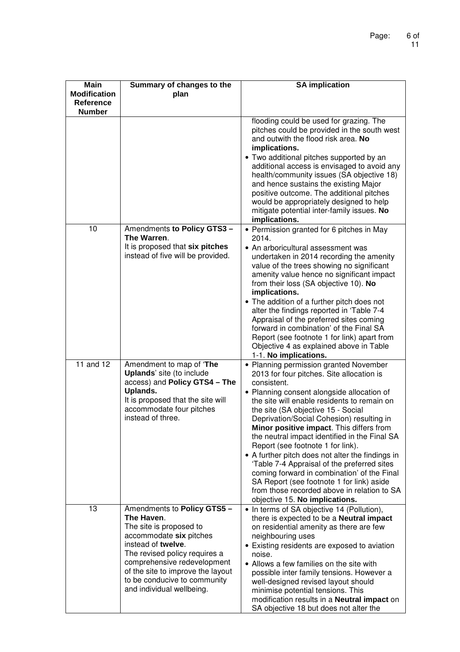| <b>Main</b><br><b>Modification</b> | Summary of changes to the                                                                                                                                                                                                                                                               | <b>SA implication</b>                                                                                                                                                                                                                                                                                                                                                                                                                                                                                                                                                                                                                                                                                |
|------------------------------------|-----------------------------------------------------------------------------------------------------------------------------------------------------------------------------------------------------------------------------------------------------------------------------------------|------------------------------------------------------------------------------------------------------------------------------------------------------------------------------------------------------------------------------------------------------------------------------------------------------------------------------------------------------------------------------------------------------------------------------------------------------------------------------------------------------------------------------------------------------------------------------------------------------------------------------------------------------------------------------------------------------|
| <b>Reference</b><br><b>Number</b>  | plan                                                                                                                                                                                                                                                                                    |                                                                                                                                                                                                                                                                                                                                                                                                                                                                                                                                                                                                                                                                                                      |
|                                    |                                                                                                                                                                                                                                                                                         | flooding could be used for grazing. The<br>pitches could be provided in the south west<br>and outwith the flood risk area. No<br>implications.<br>• Two additional pitches supported by an<br>additional access is envisaged to avoid any<br>health/community issues (SA objective 18)<br>and hence sustains the existing Major<br>positive outcome. The additional pitches<br>would be appropriately designed to help<br>mitigate potential inter-family issues. No<br>implications.                                                                                                                                                                                                                |
| 10                                 | Amendments to Policy GTS3-<br>The Warren.<br>It is proposed that six pitches<br>instead of five will be provided.                                                                                                                                                                       | • Permission granted for 6 pitches in May<br>2014.<br>• An arboricultural assessment was<br>undertaken in 2014 recording the amenity<br>value of the trees showing no significant<br>amenity value hence no significant impact<br>from their loss (SA objective 10). No<br>implications.<br>• The addition of a further pitch does not<br>alter the findings reported in 'Table 7-4<br>Appraisal of the preferred sites coming<br>forward in combination' of the Final SA<br>Report (see footnote 1 for link) apart from<br>Objective 4 as explained above in Table<br>1-1. No implications.                                                                                                         |
| 11 and 12                          | Amendment to map of 'The<br>Uplands' site (to include<br>access) and Policy GTS4 - The<br>Uplands.<br>It is proposed that the site will<br>accommodate four pitches<br>instead of three.                                                                                                | • Planning permission granted November<br>2013 for four pitches. Site allocation is<br>consistent.<br>• Planning consent alongside allocation of<br>the site will enable residents to remain on<br>the site (SA objective 15 - Social<br>Deprivation/Social Cohesion) resulting in<br>Minor positive impact. This differs from<br>the neutral impact identified in the Final SA<br>Report (see footnote 1 for link).<br>• A further pitch does not alter the findings in<br>'Table 7-4 Appraisal of the preferred sites<br>coming forward in combination' of the Final<br>SA Report (see footnote 1 for link) aside<br>from those recorded above in relation to SA<br>objective 15. No implications. |
| 13                                 | Amendments to Policy GTS5 -<br>The Haven.<br>The site is proposed to<br>accommodate six pitches<br>instead of twelve.<br>The revised policy requires a<br>comprehensive redevelopment<br>of the site to improve the layout<br>to be conducive to community<br>and individual wellbeing. | • In terms of SA objective 14 (Pollution),<br>there is expected to be a <b>Neutral impact</b><br>on residential amenity as there are few<br>neighbouring uses<br>• Existing residents are exposed to aviation<br>noise.<br>• Allows a few families on the site with<br>possible inter family tensions. However a<br>well-designed revised layout should<br>minimise potential tensions. This<br>modification results in a Neutral impact on<br>SA objective 18 but does not alter the                                                                                                                                                                                                                |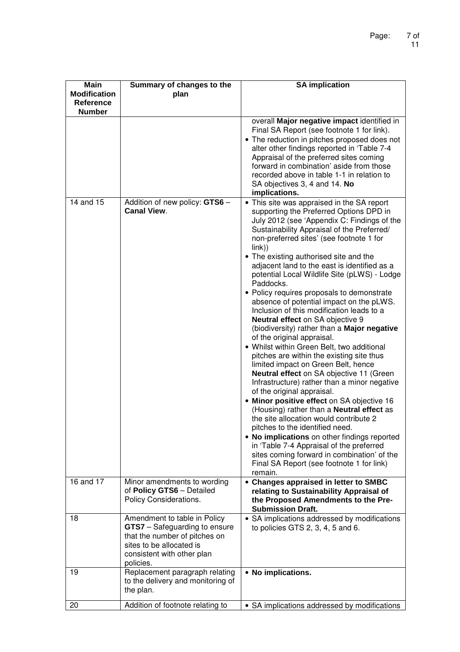| Main<br><b>Modification</b><br><b>Reference</b><br><b>Number</b> | Summary of changes to the<br>plan                                                                                                                                            | <b>SA implication</b>                                                                                                                                                                                                                                                                                                                                                                                                                                                                                                                                                                                                                                                                                                                                                                                                                                                                                                                                                                                                                                                                                                                                                                                                                                                                         |
|------------------------------------------------------------------|------------------------------------------------------------------------------------------------------------------------------------------------------------------------------|-----------------------------------------------------------------------------------------------------------------------------------------------------------------------------------------------------------------------------------------------------------------------------------------------------------------------------------------------------------------------------------------------------------------------------------------------------------------------------------------------------------------------------------------------------------------------------------------------------------------------------------------------------------------------------------------------------------------------------------------------------------------------------------------------------------------------------------------------------------------------------------------------------------------------------------------------------------------------------------------------------------------------------------------------------------------------------------------------------------------------------------------------------------------------------------------------------------------------------------------------------------------------------------------------|
|                                                                  |                                                                                                                                                                              | overall Major negative impact identified in<br>Final SA Report (see footnote 1 for link).<br>• The reduction in pitches proposed does not<br>alter other findings reported in 'Table 7-4<br>Appraisal of the preferred sites coming<br>forward in combination' aside from those<br>recorded above in table 1-1 in relation to<br>SA objectives 3, 4 and 14. No<br>implications.                                                                                                                                                                                                                                                                                                                                                                                                                                                                                                                                                                                                                                                                                                                                                                                                                                                                                                               |
| 14 and 15                                                        | Addition of new policy: GTS6 -<br><b>Canal View.</b>                                                                                                                         | • This site was appraised in the SA report<br>supporting the Preferred Options DPD in<br>July 2012 (see 'Appendix C: Findings of the<br>Sustainability Appraisal of the Preferred/<br>non-preferred sites' (see footnote 1 for<br>link)<br>• The existing authorised site and the<br>adjacent land to the east is identified as a<br>potential Local Wildlife Site (pLWS) - Lodge<br>Paddocks.<br>• Policy requires proposals to demonstrate<br>absence of potential impact on the pLWS.<br>Inclusion of this modification leads to a<br>Neutral effect on SA objective 9<br>(biodiversity) rather than a Major negative<br>of the original appraisal.<br>• Whilst within Green Belt, two additional<br>pitches are within the existing site thus<br>limited impact on Green Belt, hence<br>Neutral effect on SA objective 11 (Green<br>Infrastructure) rather than a minor negative<br>of the original appraisal.<br>• Minor positive effect on SA objective 16<br>(Housing) rather than a Neutral effect as<br>the site allocation would contribute 2<br>pitches to the identified need.<br>• No implications on other findings reported<br>in 'Table 7-4 Appraisal of the preferred<br>sites coming forward in combination' of the<br>Final SA Report (see footnote 1 for link)<br>remain. |
| 16 and 17                                                        | Minor amendments to wording<br>of Policy GTS6 - Detailed<br>Policy Considerations.                                                                                           | • Changes appraised in letter to SMBC<br>relating to Sustainability Appraisal of<br>the Proposed Amendments to the Pre-<br><b>Submission Draft.</b>                                                                                                                                                                                                                                                                                                                                                                                                                                                                                                                                                                                                                                                                                                                                                                                                                                                                                                                                                                                                                                                                                                                                           |
| 18                                                               | Amendment to table in Policy<br><b>GTS7</b> – Safeguarding to ensure<br>that the number of pitches on<br>sites to be allocated is<br>consistent with other plan<br>policies. | • SA implications addressed by modifications<br>to policies GTS $2, 3, 4, 5$ and $6.$                                                                                                                                                                                                                                                                                                                                                                                                                                                                                                                                                                                                                                                                                                                                                                                                                                                                                                                                                                                                                                                                                                                                                                                                         |
| 19                                                               | Replacement paragraph relating<br>to the delivery and monitoring of<br>the plan.                                                                                             | • No implications.                                                                                                                                                                                                                                                                                                                                                                                                                                                                                                                                                                                                                                                                                                                                                                                                                                                                                                                                                                                                                                                                                                                                                                                                                                                                            |
| 20                                                               | Addition of footnote relating to                                                                                                                                             | • SA implications addressed by modifications                                                                                                                                                                                                                                                                                                                                                                                                                                                                                                                                                                                                                                                                                                                                                                                                                                                                                                                                                                                                                                                                                                                                                                                                                                                  |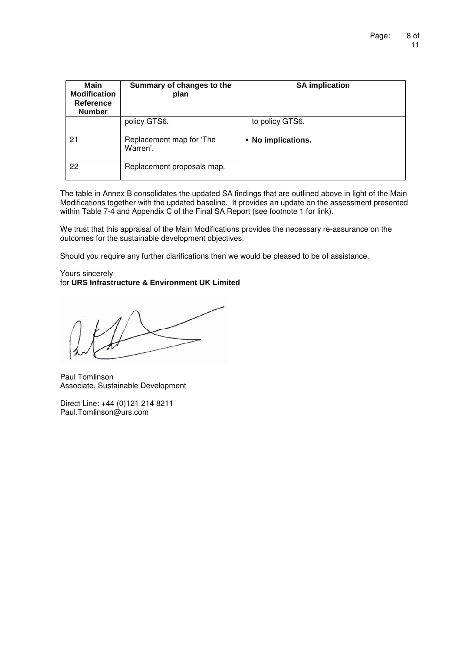| <b>Main</b><br><b>Modification</b><br>Reference<br><b>Number</b> | Summary of changes to the<br>plan    | <b>SA implication</b> |
|------------------------------------------------------------------|--------------------------------------|-----------------------|
|                                                                  | policy GTS6.                         | to policy GTS6.       |
| 21                                                               | Replacement map for 'The<br>Warren'. | • No implications.    |
| 22                                                               | Replacement proposals map.           |                       |

The table in Annex B consolidates the updated SA findings that are outlined above in light of the Main Modifications together with the updated baseline. It provides an update on the assessment presented within Table 7-4 and Appendix C of the Final SA Report (see footnote 1 for link).

We trust that this appraisal of the Main Modifications provides the necessary re-assurance on the outcomes for the sustainable development objectives.

Should you require any further clarifications then we would be pleased to be of assistance.

#### Yours sincerely for **URS Infrastructure & Environment UK Limited**

Paul Tomlinson Associate, Sustainable Development

Direct Line: +44 (0)121 214 8211 Paul.Tomlinson@urs.com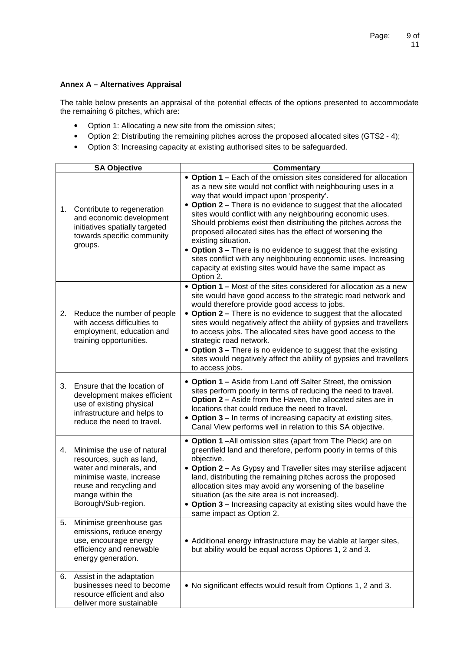## **Annex A – Alternatives Appraisal**

The table below presents an appraisal of the potential effects of the options presented to accommodate the remaining 6 pitches, which are:

- Option 1: Allocating a new site from the omission sites;
- Option 2: Distributing the remaining pitches across the proposed allocated sites (GTS2 4);
- Option 3: Increasing capacity at existing authorised sites to be safeguarded.

|    | <b>SA Objective</b>                                                                                                                                                                  | <b>Commentary</b>                                                                                                                                                                                                                                                                                                                                                                                                                                                                                                                                                                                                                                                               |
|----|--------------------------------------------------------------------------------------------------------------------------------------------------------------------------------------|---------------------------------------------------------------------------------------------------------------------------------------------------------------------------------------------------------------------------------------------------------------------------------------------------------------------------------------------------------------------------------------------------------------------------------------------------------------------------------------------------------------------------------------------------------------------------------------------------------------------------------------------------------------------------------|
| 1. | Contribute to regeneration<br>and economic development<br>initiatives spatially targeted<br>towards specific community<br>groups.                                                    | • Option 1 - Each of the omission sites considered for allocation<br>as a new site would not conflict with neighbouring uses in a<br>way that would impact upon 'prosperity'.<br>• Option 2 - There is no evidence to suggest that the allocated<br>sites would conflict with any neighbouring economic uses.<br>Should problems exist then distributing the pitches across the<br>proposed allocated sites has the effect of worsening the<br>existing situation.<br>• Option 3 – There is no evidence to suggest that the existing<br>sites conflict with any neighbouring economic uses. Increasing<br>capacity at existing sites would have the same impact as<br>Option 2. |
| 2. | Reduce the number of people<br>with access difficulties to<br>employment, education and<br>training opportunities.                                                                   | • Option 1 – Most of the sites considered for allocation as a new<br>site would have good access to the strategic road network and<br>would therefore provide good access to jobs.<br>• Option 2 – There is no evidence to suggest that the allocated<br>sites would negatively affect the ability of gypsies and travellers<br>to access jobs. The allocated sites have good access to the<br>strategic road network.<br>• Option 3 - There is no evidence to suggest that the existing<br>sites would negatively affect the ability of gypsies and travellers<br>to access jobs.                                                                                              |
| 3. | Ensure that the location of<br>development makes efficient<br>use of existing physical<br>infrastructure and helps to<br>reduce the need to travel.                                  | • Option 1 – Aside from Land off Salter Street, the omission<br>sites perform poorly in terms of reducing the need to travel.<br>Option 2 - Aside from the Haven, the allocated sites are in<br>locations that could reduce the need to travel.<br>• Option 3 – In terms of increasing capacity at existing sites,<br>Canal View performs well in relation to this SA objective.                                                                                                                                                                                                                                                                                                |
| 4. | Minimise the use of natural<br>resources, such as land,<br>water and minerals, and<br>minimise waste, increase<br>reuse and recycling and<br>mange within the<br>Borough/Sub-region. | • Option 1-All omission sites (apart from The Pleck) are on<br>greenfield land and therefore, perform poorly in terms of this<br>objective.<br>• Option 2 - As Gypsy and Traveller sites may sterilise adjacent<br>land, distributing the remaining pitches across the proposed<br>allocation sites may avoid any worsening of the baseline<br>situation (as the site area is not increased).<br>• Option 3 - Increasing capacity at existing sites would have the<br>same impact as Option 2.                                                                                                                                                                                  |
| 5. | Minimise greenhouse gas<br>emissions, reduce energy<br>use, encourage energy<br>efficiency and renewable<br>energy generation.                                                       | • Additional energy infrastructure may be viable at larger sites,<br>but ability would be equal across Options 1, 2 and 3.                                                                                                                                                                                                                                                                                                                                                                                                                                                                                                                                                      |
| 6. | Assist in the adaptation<br>businesses need to become<br>resource efficient and also<br>deliver more sustainable                                                                     | • No significant effects would result from Options 1, 2 and 3.                                                                                                                                                                                                                                                                                                                                                                                                                                                                                                                                                                                                                  |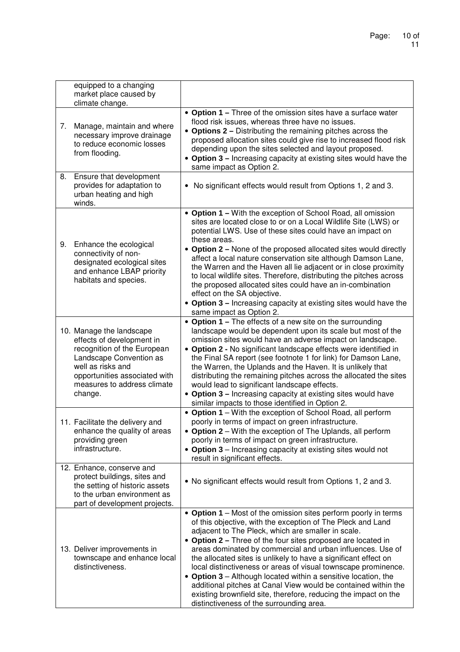|    | equipped to a changing<br>market place caused by<br>climate change.                                                                                                                                             |                                                                                                                                                                                                                                                                                                                                                                                                                                                                                                                                                                                                                                                                                                            |
|----|-----------------------------------------------------------------------------------------------------------------------------------------------------------------------------------------------------------------|------------------------------------------------------------------------------------------------------------------------------------------------------------------------------------------------------------------------------------------------------------------------------------------------------------------------------------------------------------------------------------------------------------------------------------------------------------------------------------------------------------------------------------------------------------------------------------------------------------------------------------------------------------------------------------------------------------|
| 7. | Manage, maintain and where<br>necessary improve drainage<br>to reduce economic losses<br>from flooding.                                                                                                         | • Option 1 - Three of the omission sites have a surface water<br>flood risk issues, whereas three have no issues.<br>• Options 2 – Distributing the remaining pitches across the<br>proposed allocation sites could give rise to increased flood risk<br>depending upon the sites selected and layout proposed.<br>• Option 3 – Increasing capacity at existing sites would have the<br>same impact as Option 2.                                                                                                                                                                                                                                                                                           |
| 8. | Ensure that development<br>provides for adaptation to<br>urban heating and high<br>winds.                                                                                                                       | • No significant effects would result from Options 1, 2 and 3.                                                                                                                                                                                                                                                                                                                                                                                                                                                                                                                                                                                                                                             |
| 9. | Enhance the ecological<br>connectivity of non-<br>designated ecological sites<br>and enhance LBAP priority<br>habitats and species.                                                                             | • Option 1 – With the exception of School Road, all omission<br>sites are located close to or on a Local Wildlife Site (LWS) or<br>potential LWS. Use of these sites could have an impact on<br>these areas.<br>• Option 2 – None of the proposed allocated sites would directly<br>affect a local nature conservation site although Damson Lane,<br>the Warren and the Haven all lie adjacent or in close proximity<br>to local wildlife sites. Therefore, distributing the pitches across<br>the proposed allocated sites could have an in-combination<br>effect on the SA objective.<br>• Option 3 - Increasing capacity at existing sites would have the<br>same impact as Option 2.                   |
|    | 10. Manage the landscape<br>effects of development in<br>recognition of the European<br>Landscape Convention as<br>well as risks and<br>opportunities associated with<br>measures to address climate<br>change. | • Option 1 – The effects of a new site on the surrounding<br>landscape would be dependent upon its scale but most of the<br>omission sites would have an adverse impact on landscape.<br>• Option 2 - No significant landscape effects were identified in<br>the Final SA report (see footnote 1 for link) for Damson Lane,<br>the Warren, the Uplands and the Haven. It is unlikely that<br>distributing the remaining pitches across the allocated the sites<br>would lead to significant landscape effects.<br>• Option 3 - Increasing capacity at existing sites would have<br>similar impacts to those identified in Option 2.                                                                        |
|    | 11. Facilitate the delivery and<br>enhance the quality of areas<br>providing green<br>infrastructure.                                                                                                           | • Option 1 – With the exception of School Road, all perform<br>poorly in terms of impact on green infrastructure<br>• Option 2 - With the exception of The Uplands, all perform<br>poorly in terms of impact on green infrastructure.<br>• Option 3 – Increasing capacity at existing sites would not<br>result in significant effects.                                                                                                                                                                                                                                                                                                                                                                    |
|    | 12. Enhance, conserve and<br>protect buildings, sites and<br>the setting of historic assets<br>to the urban environment as<br>part of development projects.                                                     | • No significant effects would result from Options 1, 2 and 3.                                                                                                                                                                                                                                                                                                                                                                                                                                                                                                                                                                                                                                             |
|    | 13. Deliver improvements in<br>townscape and enhance local<br>distinctiveness.                                                                                                                                  | • Option 1 – Most of the omission sites perform poorly in terms<br>of this objective, with the exception of The Pleck and Land<br>adjacent to The Pleck, which are smaller in scale.<br>• Option 2 – Three of the four sites proposed are located in<br>areas dominated by commercial and urban influences. Use of<br>the allocated sites is unlikely to have a significant effect on<br>local distinctiveness or areas of visual townscape prominence.<br>• Option 3 – Although located within a sensitive location, the<br>additional pitches at Canal View would be contained within the<br>existing brownfield site, therefore, reducing the impact on the<br>distinctiveness of the surrounding area. |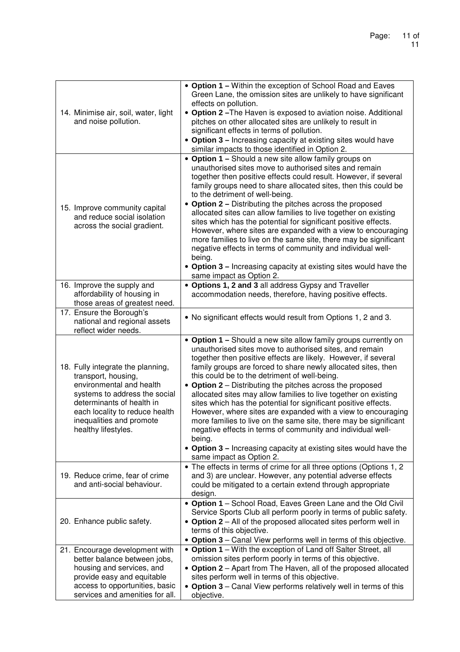| 14. Minimise air, soil, water, light<br>and noise pollution.                                                                                                                                                                            | • Option 1 - Within the exception of School Road and Eaves<br>Green Lane, the omission sites are unlikely to have significant<br>effects on pollution.<br>• Option 2-The Haven is exposed to aviation noise. Additional<br>pitches on other allocated sites are unlikely to result in<br>significant effects in terms of pollution.<br>• Option 3 - Increasing capacity at existing sites would have<br>similar impacts to those identified in Option 2.                                                                                                                                                                                                                                                                                                                                                                        |
|-----------------------------------------------------------------------------------------------------------------------------------------------------------------------------------------------------------------------------------------|---------------------------------------------------------------------------------------------------------------------------------------------------------------------------------------------------------------------------------------------------------------------------------------------------------------------------------------------------------------------------------------------------------------------------------------------------------------------------------------------------------------------------------------------------------------------------------------------------------------------------------------------------------------------------------------------------------------------------------------------------------------------------------------------------------------------------------|
| 15. Improve community capital<br>and reduce social isolation<br>across the social gradient.                                                                                                                                             | • Option 1 – Should a new site allow family groups on<br>unauthorised sites move to authorised sites and remain<br>together then positive effects could result. However, if several<br>family groups need to share allocated sites, then this could be<br>to the detriment of well-being.<br>• Option 2 – Distributing the pitches across the proposed<br>allocated sites can allow families to live together on existing<br>sites which has the potential for significant positive effects.<br>However, where sites are expanded with a view to encouraging<br>more families to live on the same site, there may be significant<br>negative effects in terms of community and individual well-<br>being.<br>• Option 3 – Increasing capacity at existing sites would have the<br>same impact as Option 2.                      |
| 16. Improve the supply and<br>affordability of housing in<br>those areas of greatest need.                                                                                                                                              | • Options 1, 2 and 3 all address Gypsy and Traveller<br>accommodation needs, therefore, having positive effects.                                                                                                                                                                                                                                                                                                                                                                                                                                                                                                                                                                                                                                                                                                                |
| 17. Ensure the Borough's<br>national and regional assets<br>reflect wider needs.                                                                                                                                                        | • No significant effects would result from Options 1, 2 and 3.                                                                                                                                                                                                                                                                                                                                                                                                                                                                                                                                                                                                                                                                                                                                                                  |
| 18. Fully integrate the planning,<br>transport, housing,<br>environmental and health<br>systems to address the social<br>determinants of health in<br>each locality to reduce health<br>inequalities and promote<br>healthy lifestyles. | • Option 1 - Should a new site allow family groups currently on<br>unauthorised sites move to authorised sites, and remain<br>together then positive effects are likely. However, if several<br>family groups are forced to share newly allocated sites, then<br>this could be to the detriment of well-being.<br>• Option 2 – Distributing the pitches across the proposed<br>allocated sites may allow families to live together on existing<br>sites which has the potential for significant positive effects.<br>However, where sites are expanded with a view to encouraging<br>more families to live on the same site, there may be significant<br>negative effects in terms of community and individual well-<br>being.<br>• Option 3 – Increasing capacity at existing sites would have the<br>same impact as Option 2. |
| 19. Reduce crime, fear of crime<br>and anti-social behaviour.                                                                                                                                                                           | • The effects in terms of crime for all three options (Options 1, 2<br>and 3) are unclear. However, any potential adverse effects<br>could be mitigated to a certain extend through appropriate<br>design.                                                                                                                                                                                                                                                                                                                                                                                                                                                                                                                                                                                                                      |
| 20. Enhance public safety.                                                                                                                                                                                                              | • Option 1 - School Road, Eaves Green Lane and the Old Civil<br>Service Sports Club all perform poorly in terms of public safety.<br>• Option 2 - All of the proposed allocated sites perform well in<br>terms of this objective.<br>• Option 3 – Canal View performs well in terms of this objective.                                                                                                                                                                                                                                                                                                                                                                                                                                                                                                                          |
| 21. Encourage development with<br>better balance between jobs,<br>housing and services, and<br>provide easy and equitable<br>access to opportunities, basic<br>services and amenities for all.                                          | • Option 1 - With the exception of Land off Salter Street, all<br>omission sites perform poorly in terms of this objective.<br>• Option 2 - Apart from The Haven, all of the proposed allocated<br>sites perform well in terms of this objective.<br>• Option 3 - Canal View performs relatively well in terms of this<br>objective.                                                                                                                                                                                                                                                                                                                                                                                                                                                                                            |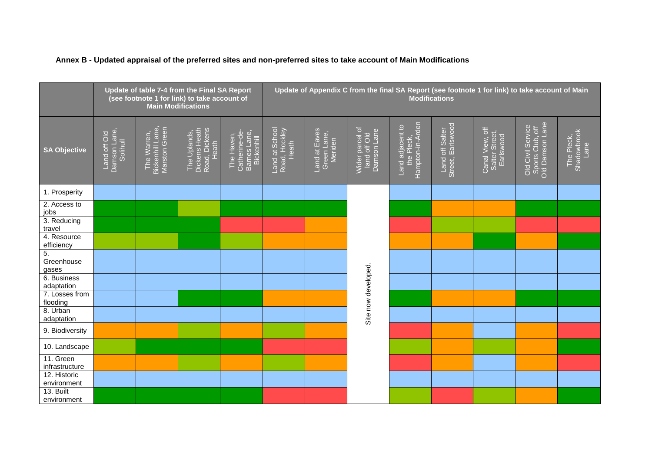|  |  |  | Annex B - Updated appraisal of the preferred sites and non-preferred sites to take account of Main Modifications |
|--|--|--|------------------------------------------------------------------------------------------------------------------|
|--|--|--|------------------------------------------------------------------------------------------------------------------|

|                             | Update of table 7-4 from the Final SA Report<br>(see footnote 1 for link) to take account of<br><b>Main Modifications</b> |                                                  |                                                         |                                                           | Update of Appendix C from the final SA Report (see footnote 1 for link) to take account of Main<br><b>Modifications</b> |                                         |                                                |                                                    |                                      |                                                |                                                          |                                   |
|-----------------------------|---------------------------------------------------------------------------------------------------------------------------|--------------------------------------------------|---------------------------------------------------------|-----------------------------------------------------------|-------------------------------------------------------------------------------------------------------------------------|-----------------------------------------|------------------------------------------------|----------------------------------------------------|--------------------------------------|------------------------------------------------|----------------------------------------------------------|-----------------------------------|
| <b>SA Objective</b>         | Damson Lane,<br>Solihull<br>Land off Old                                                                                  | Bickenhill Lane,<br>Marston Green<br>The Warren, | The Uplands,<br>Dickens Heath<br>Road, Dickens<br>Heath | Barnes Lane,<br>Catherine-de-<br>The Haven,<br>Bickenhill | Land at School<br>Road, Hockley<br>Heath                                                                                | Land at Eaves<br>Green Lane,<br>Meriden | Wider parcel of<br>land off Old<br>Damson Lane | Hampton-in-Arden<br>Land adjacent to<br>the Pleck, | Land off Salter<br>Street, Earlswood | Canal View, off<br>Salter Street,<br>Earlswood | Old Civil Service<br>Sports Club, off<br>Old Damson Lane | The Pleck,<br>Shadowbrook<br>Lane |
| 1. Prosperity               |                                                                                                                           |                                                  |                                                         |                                                           |                                                                                                                         |                                         |                                                |                                                    |                                      |                                                |                                                          |                                   |
| 2. Access to<br>jobs        |                                                                                                                           |                                                  |                                                         |                                                           |                                                                                                                         |                                         |                                                |                                                    |                                      |                                                |                                                          |                                   |
| 3. Reducing<br>travel       |                                                                                                                           |                                                  |                                                         |                                                           |                                                                                                                         |                                         |                                                |                                                    |                                      |                                                |                                                          |                                   |
| 4. Resource<br>efficiency   |                                                                                                                           |                                                  |                                                         |                                                           |                                                                                                                         |                                         |                                                |                                                    |                                      |                                                |                                                          |                                   |
| 5.<br>Greenhouse<br>gases   |                                                                                                                           |                                                  |                                                         |                                                           |                                                                                                                         |                                         |                                                |                                                    |                                      |                                                |                                                          |                                   |
| 6. Business<br>adaptation   |                                                                                                                           |                                                  |                                                         |                                                           |                                                                                                                         |                                         |                                                |                                                    |                                      |                                                |                                                          |                                   |
| 7. Losses from<br>flooding  |                                                                                                                           |                                                  |                                                         |                                                           |                                                                                                                         |                                         | Site now developed.                            |                                                    |                                      |                                                |                                                          |                                   |
| 8. Urban<br>adaptation      |                                                                                                                           |                                                  |                                                         |                                                           |                                                                                                                         |                                         |                                                |                                                    |                                      |                                                |                                                          |                                   |
| 9. Biodiversity             |                                                                                                                           |                                                  |                                                         |                                                           |                                                                                                                         |                                         |                                                |                                                    |                                      |                                                |                                                          |                                   |
| 10. Landscape               |                                                                                                                           |                                                  |                                                         |                                                           |                                                                                                                         |                                         |                                                |                                                    |                                      |                                                |                                                          |                                   |
| 11. Green<br>infrastructure |                                                                                                                           |                                                  |                                                         |                                                           |                                                                                                                         |                                         |                                                |                                                    |                                      |                                                |                                                          |                                   |
| 12. Historic<br>environment |                                                                                                                           |                                                  |                                                         |                                                           |                                                                                                                         |                                         |                                                |                                                    |                                      |                                                |                                                          |                                   |
| 13. Built<br>environment    |                                                                                                                           |                                                  |                                                         |                                                           |                                                                                                                         |                                         |                                                |                                                    |                                      |                                                |                                                          |                                   |